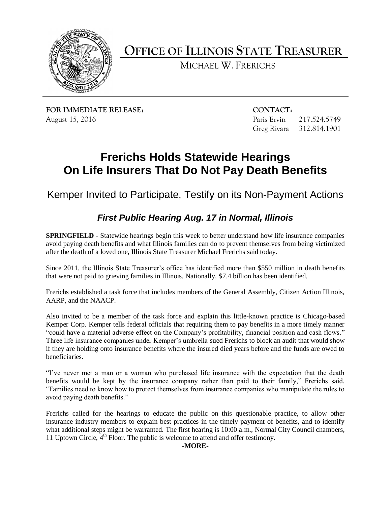

**OFFICE OF ILLINOIS STATE TREASURER**

MICHAEL W. FRERICHS

**FOR IMMEDIATE RELEASE: CONTACT:** August 15, 2016 **Paris Ervin 217.524.5749** 

Greg Rivara 312.814.1901

## **Frerichs Holds Statewide Hearings On Life Insurers That Do Not Pay Death Benefits**

Kemper Invited to Participate, Testify on its Non-Payment Actions

## *First Public Hearing Aug. 17 in Normal, Illinois*

**SPRINGFIELD** - Statewide hearings begin this week to better understand how life insurance companies avoid paying death benefits and what Illinois families can do to prevent themselves from being victimized after the death of a loved one, Illinois State Treasurer Michael Frerichs said today.

Since 2011, the Illinois State Treasurer's office has identified more than \$550 million in death benefits that were not paid to grieving families in Illinois. Nationally, \$7.4 billion has been identified.

Frerichs established a task force that includes members of the General Assembly, Citizen Action Illinois, AARP, and the NAACP.

Also invited to be a member of the task force and explain this little-known practice is Chicago-based Kemper Corp. Kemper tells federal officials that requiring them to pay benefits in a more timely manner "could have a material adverse effect on the Company's profitability, financial position and cash flows." Three life insurance companies under Kemper's umbrella sued Frerichs to block an audit that would show if they are holding onto insurance benefits where the insured died years before and the funds are owed to beneficiaries.

"I've never met a man or a woman who purchased life insurance with the expectation that the death benefits would be kept by the insurance company rather than paid to their family," Frerichs said. "Families need to know how to protect themselves from insurance companies who manipulate the rules to avoid paying death benefits."

Frerichs called for the hearings to educate the public on this questionable practice, to allow other insurance industry members to explain best practices in the timely payment of benefits, and to identify what additional steps might be warranted. The first hearing is 10:00 a.m., Normal City Council chambers, 11 Uptown Circle,  $4<sup>th</sup>$  Floor. The public is welcome to attend and offer testimony.

## **-MORE-**